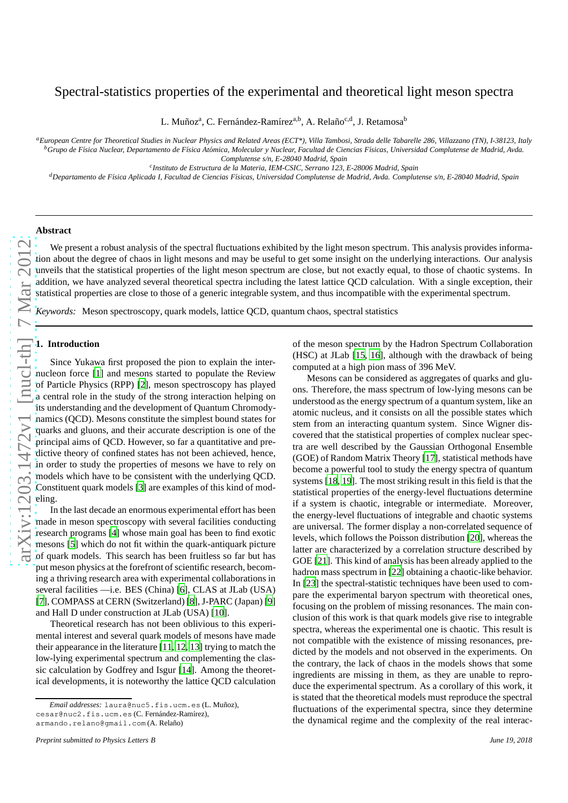# Spectral-statistics properties of the experimental and theoretical light meson spectra

L. Muñozª, C. Fernández-Ramírez<sup>a,b</sup>, A. Relaño<sup>c,d</sup>, J. Retamosa<sup>b</sup>

*<sup>a</sup>European Centre for Theoretical Studies in Nuclear Physics and Related Areas (ECT\*), Villa Tambosi, Strada delle Tabarelle 286, Villazzano (TN), I-38123, Italy <sup>b</sup>Grupo de F´ısica Nuclear, Departamento de F´ısica At´omica, Molecular y Nuclear, Facultad de Ciencias F´ısicas, Universidad Complutense de Madrid, Avda.*

*Complutense s/n, E-28040 Madrid, Spain*

*c Instituto de Estructura de la Materia, IEM-CSIC, Serrano 123, E-28006 Madrid, Spain*

*<sup>d</sup>Departamento de F´ısica Aplicada I, Facultad de Ciencias F´ısicas, Universidad Complutense de Madrid, Avda. Complutense s/n, E-28040 Madrid, Spain*

## **Abstract**

We present a robust analysis of the spectral fluctuations exhibited by the light meson spectrum. This analysis provides information about the degree of chaos in light mesons and may be useful to get some insight on the underlying interactions. Our analysis unveils that the statistical properties of the light meson spectrum are close, but not exactly equal, to those of chaotic systems. In addition, we have analyzed several theoretical spectra including the latest lattice QCD calculation. With a single exception, their statistical properties are close to those of a generic integrable system, and thus incompatible with the experimental spectrum.

*Keywords:* Meson spectroscopy, quark models, lattice QCD, quantum chaos, spectral statistics

#### **1. Introduction**

Since Yukawa first proposed the pion to explain the internucleon force [\[1](#page-5-0)] and mesons started to populate the Review of Particle Physics (RPP) [\[2](#page-5-1)], meson spectroscopy has playe d a central role in the study of the strong interaction helping on its understanding and the development of Quantum Chromodynamics (QCD). Mesons constitute the simplest bound states for quarks and gluons, and their accurate description is one of the principal aims of QCD. However, so far a quantitative and pre dictive theory of confined states has not been achieved, hence, in order to study the properties of mesons we have to rely on models which have to be consistent with the underlying QCD. Constituent quark models [\[3](#page-5-2)] are examples of this kind of mod eling.

In the last decade an enormous experimental effort has been made in meson spectroscopy with several facilities conducting research programs [\[4](#page-5-3)] whose main goal has been to find exotic mesons [\[5\]](#page-5-4) which do not fit within the quark-antiquark pictur e of quark models. This search has been fruitless so far but has put meson physics at the forefront of scientific research, becoming a thriving research area with experimental collaborations in several facilities —i.e. BES (China) [\[6](#page-5-5)], CLAS at JLab (USA) [\[7\]](#page-5-6), COMPASS at CERN (Switzerland) [\[8\]](#page-5-7), J-PARC (Japan) [\[9](#page-5-8)] and Hall D under construction at JLab (USA) [\[10\]](#page-5-9).

Theoretical research has not been oblivious to this experimental interest and several quark models of mesons have made their appearance in the literature [\[11](#page-5-10), [12,](#page-5-11) [13](#page-5-12)] trying to match the low-lying experimental spectrum and complementing the classic calculation by Godfrey and Isgur [\[14](#page-5-13)]. Among the theoretical developments, it is noteworthy the lattice QCD calculation

of the meson spectrum by the Hadron Spectrum Collaboration (HSC) at JLab [\[15,](#page-5-14) [16](#page-5-15)], although with the drawback of being computed at a high pion mass of 396 MeV.

Mesons can be considered as aggregates of quarks and gluons. Therefore, the mass spectrum of low-lying mesons can be understood as the energy spectrum of a quantum system, like a n atomic nucleus, and it consists on all the possible states which stem from an interacting quantum system. Since Wigner discovered that the statistical properties of complex nuclear spectra are well described by the Gaussian Orthogonal Ensemble (GOE) of Random Matrix Theory [\[17\]](#page-5-16), statistical methods hav e become a powerful tool to study the energy spectra of quantum systems [\[18,](#page-5-17) [19](#page-5-18)]. The most striking result in this field is that the statistical properties of the energy-level fluctuations determine if a system is chaotic, integrable or intermediate. Moreover, the energy-level fluctuations of integrable and chaotic systems are universal. The former display a non-correlated sequence of levels, which follows the Poisson distribution [\[20](#page-5-19)], whereas the latter are characterized by a correlation structure described by GOE [\[21\]](#page-5-20). This kind of analysis has been already applied to th e hadron mass spectrum in [\[22](#page-5-21)] obtaining a chaotic-like behavior. In [\[23\]](#page-5-22) the spectral-statistic techniques have been used to compare the experimental baryon spectrum with theoretical ones, focusing on the problem of missing resonances. The main conclusion of this work is that quark models give rise to integrable spectra, whereas the experimental one is chaotic. This result is not compatible with the existence of missing resonances, predicted by the models and not observed in the experiments. On the contrary, the lack of chaos in the models shows that some ingredients are missing in them, as they are unable to reproduce the experimental spectrum. As a corollary of this work, it is stated that the theoretical models must reproduce the spectral fluctuations of the experimental spectra, since they determine the dynamical regime and the complexity of the real interac-

*Email addresses:* laura@nuc5.fis.ucm.es (L. Mu˜noz), cesar@nuc2.fis.ucm.es (C. Fernández-Ramírez), armando.relano@gmail.com (A. Relaño)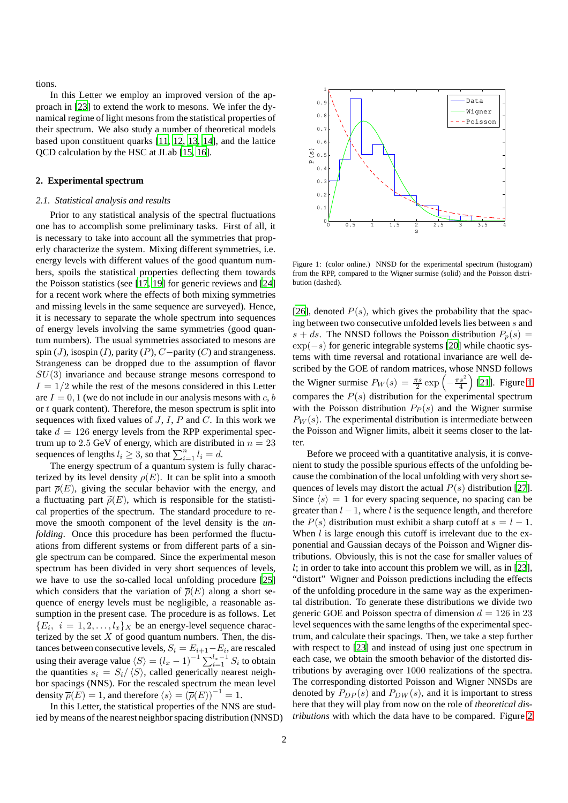tions.

In this Letter we employ an improved version of the approach in [\[23\]](#page-5-22) to extend the work to mesons. We infer the dynamical regime of light mesons from the statistical properties of their spectrum. We also study a number of theoretical models based upon constituent quarks [\[11](#page-5-10), [12,](#page-5-11) [13](#page-5-12), [14\]](#page-5-13), and the lattice QCD calculation by the HSC at JLab [\[15](#page-5-14), [16](#page-5-15)].

### <span id="page-1-1"></span>**2. Experimental spectrum**

#### *2.1. Statistical analysis and results*

Prior to any statistical analysis of the spectral fluctuations one has to accomplish some preliminary tasks. First of all, it is necessary to take into account all the symmetries that properly characterize the system. Mixing different symmetries, i.e. energy levels with different values of the good quantum numbers, spoils the statistical properties deflecting them towards the Poisson statistics (see [\[17,](#page-5-16) [19\]](#page-5-18) for generic reviews and [\[24](#page-5-23)] for a recent work where the effects of both mixing symmetries and missing levels in the same sequence are surveyed). Hence, it is necessary to separate the whole spectrum into sequences of energy levels involving the same symmetries (good quantum numbers). The usual symmetries associated to mesons are spin (J), isospin (I), parity (P),  $C-$ parity (C) and strangeness. Strangeness can be dropped due to the assumption of flavor  $SU(3)$  invariance and because strange mesons correspond to  $I = 1/2$  while the rest of the mesons considered in this Letter are  $I = 0, 1$  (we do not include in our analysis mesons with c, b or  $t$  quark content). Therefore, the meson spectrum is split into sequences with fixed values of  $J, I, P$  and  $C$ . In this work we take  $d = 126$  energy levels from the RPP experimental spectrum up to 2.5 GeV of energy, which are distributed in  $n = 23$ sequences of lengths  $l_i \geq 3$ , so that  $\sum_{i=1}^{n} l_i = d$ .

The energy spectrum of a quantum system is fully characterized by its level density  $\rho(E)$ . It can be split into a smooth part  $\overline{\rho}(E)$ , giving the secular behavior with the energy, and a fluctuating part  $\tilde{\rho}(E)$ , which is responsible for the statistical properties of the spectrum. The standard procedure to remove the smooth component of the level density is the *unfolding*. Once this procedure has been performed the fluctuations from different systems or from different parts of a single spectrum can be compared. Since the experimental meson spectrum has been divided in very short sequences of levels, we have to use the so-called local unfolding procedure [\[25](#page-5-24)] which considers that the variation of  $\overline{\rho}(E)$  along a short sequence of energy levels must be negligible, a reasonable assumption in the present case. The procedure is as follows. Let  ${E_i, i = 1, 2, \ldots, l_x}$  be an energy-level sequence characterized by the set  $X$  of good quantum numbers. Then, the distances between consecutive levels,  $S_i = E_{i+1} - E_i$ , are rescaled using their average value  $\langle S \rangle = (l_x - 1)^{-1} \sum_{i=1}^{l_x - 1} S_i$  to obtain the quantities  $s_i = S_i / \langle S \rangle$ , called generically nearest neighbor spacings (NNS). For the rescaled spectrum the mean level density  $\overline{\rho}(E) = 1$ , and therefore  $\langle s \rangle = (\overline{\rho}(E))^{-1} = 1$ .

In this Letter, the statistical properties of the NNS are studied by means of the nearest neighbor spacing distribution (NNSD)



<span id="page-1-0"></span>Figure 1: (color online.) NNSD for the experimental spectrum (histogram) from the RPP, compared to the Wigner surmise (solid) and the Poisson distribution (dashed).

[\[26\]](#page-5-25), denoted  $P(s)$ , which gives the probability that the spacing between two consecutive unfolded levels lies between s and  $s + ds$ . The NNSD follows the Poisson distribution  $P_p(s) =$ exp(−s) for generic integrable systems [\[20\]](#page-5-19) while chaotic systems with time reversal and rotational invariance are well described by the GOE of random matrices, whose NNSD follows the Wigner surmise  $P_W(s) = \frac{\pi s}{2} \exp \left(-\frac{\pi s^2}{4}\right)$  [\[21\]](#page-5-20). Figure [1](#page-1-0) compares the  $P(s)$  distribution for the experimental spectrum with the Poisson distribution  $P_P(s)$  and the Wigner surmise  $P_W(s)$ . The experimental distribution is intermediate between the Poisson and Wigner limits, albeit it seems closer to the latter.

Before we proceed with a quantitative analysis, it is convenient to study the possible spurious effects of the unfolding because the combination of the local unfolding with very short sequences of levels may distort the actual  $P(s)$  distribution [\[27\]](#page-5-26). Since  $\langle s \rangle = 1$  for every spacing sequence, no spacing can be greater than  $l - 1$ , where l is the sequence length, and therefore the  $P(s)$  distribution must exhibit a sharp cutoff at  $s = l - 1$ . When  $l$  is large enough this cutoff is irrelevant due to the exponential and Gaussian decays of the Poisson and Wigner distributions. Obviously, this is not the case for smaller values of  $l$ ; in order to take into account this problem we will, as in [\[23\]](#page-5-22), "distort" Wigner and Poisson predictions including the effects of the unfolding procedure in the same way as the experimental distribution. To generate these distributions we divide two generic GOE and Poisson spectra of dimension  $d = 126$  in 23 level sequences with the same lengths of the experimental spectrum, and calculate their spacings. Then, we take a step further with respect to [\[23](#page-5-22)] and instead of using just one spectrum in each case, we obtain the smooth behavior of the distorted distributions by averaging over 1000 realizations of the spectra. The corresponding distorted Poisson and Wigner NNSDs are denoted by  $P_{DP}(s)$  and  $P_{DW}(s)$ , and it is important to stress here that they will play from now on the role of *theoretical distributions* with which the data have to be compared. Figure [2](#page-2-0)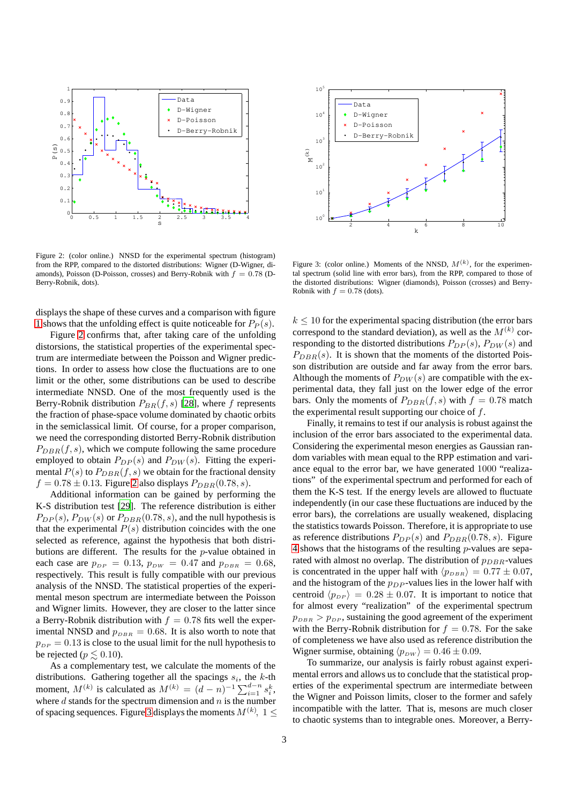

<span id="page-2-0"></span>Figure 2: (color online.) NNSD for the experimental spectrum (histogram) from the RPP, compared to the distorted distributions: Wigner (D-Wigner, diamonds), Poisson (D-Poisson, crosses) and Berry-Robnik with  $f = 0.78$  (D-Berry-Robnik, dots).

displays the shape of these curves and a comparison with figure [1](#page-1-0) shows that the unfolding effect is quite noticeable for  $P_P(s)$ .

Figure [2](#page-2-0) confirms that, after taking care of the unfolding distorsions, the statistical properties of the experimental spectrum are intermediate between the Poisson and Wigner predictions. In order to assess how close the fluctuations are to one limit or the other, some distributions can be used to describe intermediate NNSD. One of the most frequently used is the Berry-Robnik distribution  $P_{BR}(f, s)$  [\[28\]](#page-6-0), where f represents the fraction of phase-space volume dominated by chaotic orbits in the semiclassical limit. Of course, for a proper comparison, we need the corresponding distorted Berry-Robnik distribution  $P_{DBB}(f, s)$ , which we compute following the same procedure employed to obtain  $P_{DP}(s)$  and  $P_{DW}(s)$ . Fitting the experimental  $P(s)$  to  $P_{DBR}(f, s)$  we obtain for the fractional density  $f = 0.78 \pm 0.13$ . Figure [2](#page-2-0) also displays  $P_{DBR}(0.78, s)$ .

Additional information can be gained by performing the K-S distribution test [\[29\]](#page-6-1). The reference distribution is either  $P_{DP}(s)$ ,  $P_{DW}(s)$  or  $P_{DBR}(0.78, s)$ , and the null hypothesis is that the experimental  $P(s)$  distribution coincides with the one selected as reference, against the hypothesis that both distributions are different. The results for the p-value obtained in each case are  $p_{DP} = 0.13$ ,  $p_{DW} = 0.47$  and  $p_{DBR} = 0.68$ , respectively. This result is fully compatible with our previous analysis of the NNSD. The statistical properties of the experimental meson spectrum are intermediate between the Poisson and Wigner limits. However, they are closer to the latter since a Berry-Robnik distribution with  $f = 0.78$  fits well the experimental NNSD and  $p_{DBR} = 0.68$ . It is also worth to note that  $p_{DP} = 0.13$  is close to the usual limit for the null hypothesis to be rejected ( $p \leq 0.10$ ).

As a complementary test, we calculate the moments of the distributions. Gathering together all the spacings  $s_i$ , the  $k$ -th moment,  $M^{(k)}$  is calculated as  $M^{(k)} = (d - n)^{-1} \sum_{i=1}^{d-n} s_i^k$ , where  $d$  stands for the spectrum dimension and  $n$  is the number of spacing sequences. Figure [3](#page-2-1) displays the moments  $M^{(k)},\;1\leq$ 



<span id="page-2-1"></span>Figure 3: (color online.) Moments of the NNSD,  $M^{(k)}$ , for the experimental spectrum (solid line with error bars), from the RPP, compared to those of the distorted distributions: Wigner (diamonds), Poisson (crosses) and Berry-Robnik with  $f = 0.78$  (dots).

 $k \leq 10$  for the experimental spacing distribution (the error bars correspond to the standard deviation), as well as the  $M^{(k)}$  corresponding to the distorted distributions  $P_{DP}(s)$ ,  $P_{DW}(s)$  and  $P_{DBR}(s)$ . It is shown that the moments of the distorted Poisson distribution are outside and far away from the error bars. Although the moments of  $P_{DW}(s)$  are compatible with the experimental data, they fall just on the lower edge of the error bars. Only the moments of  $P_{DBR}(f, s)$  with  $f = 0.78$  match the experimental result supporting our choice of  $f$ .

Finally, it remains to test if our analysis is robust against the inclusion of the error bars associated to the experimental data. Considering the experimental meson energies as Gaussian random variables with mean equal to the RPP estimation and variance equal to the error bar, we have generated 1000 "realizations" of the experimental spectrum and performed for each of them the K-S test. If the energy levels are allowed to fluctuate independently (in our case these fluctuations are induced by the error bars), the correlations are usually weakened, displacing the statistics towards Poisson. Therefore, it is appropriate to use as reference distributions  $P_{DP}(s)$  and  $P_{DBR}(0.78, s)$ . Figure [4](#page-3-0) shows that the histograms of the resulting  $p$ -values are separated with almost no overlap. The distribution of  $p_{DBR}$ -values is concentrated in the upper half with  $\langle p_{DBR} \rangle = 0.77 \pm 0.07$ , and the histogram of the  $p_{DP}$ -values lies in the lower half with centroid  $\langle p_{DP} \rangle = 0.28 \pm 0.07$ . It is important to notice that for almost every "realization" of the experimental spectrum  $p_{DBR} > p_{DP}$ , sustaining the good agreement of the experiment with the Berry-Robnik distribution for  $f = 0.78$ . For the sake of completeness we have also used as reference distribution the Wigner surmise, obtaining  $\langle p_{DW} \rangle = 0.46 \pm 0.09$ .

To summarize, our analysis is fairly robust against experimental errors and allows us to conclude that the statistical properties of the experimental spectrum are intermediate between the Wigner and Poisson limits, closer to the former and safely incompatible with the latter. That is, mesons are much closer to chaotic systems than to integrable ones. Moreover, a Berry-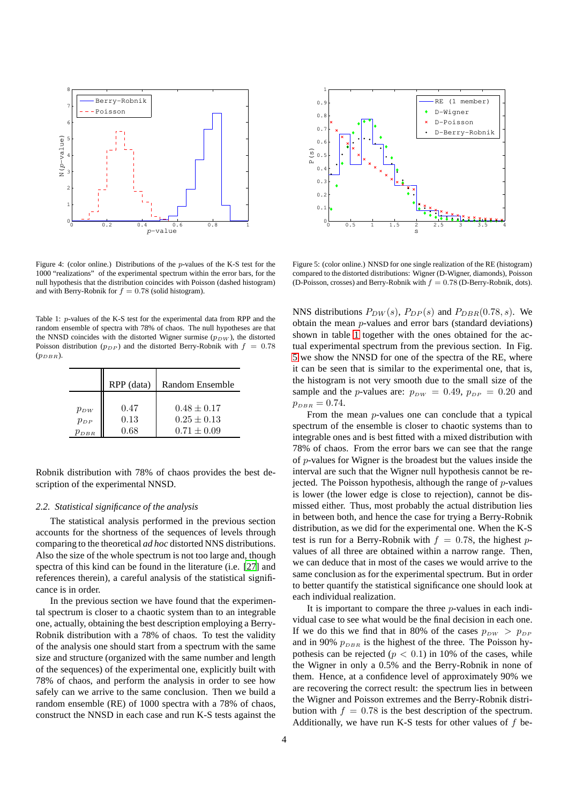

<span id="page-3-0"></span>Figure 4: (color online.) Distributions of the p-values of the K-S test for the 1000 "realizations" of the experimental spectrum within the error bars, for the null hypothesis that the distribution coincides with Poisson (dashed histogram) and with Berry-Robnik for  $f = 0.78$  (solid histogram).

<span id="page-3-1"></span>Table 1: p-values of the K-S test for the experimental data from RPP and the random ensemble of spectra with 78% of chaos. The null hypotheses are that the NNSD coincides with the distorted Wigner surmise  $(p_{DW})$ , the distorted Poisson distribution ( $p_{DP}$ ) and the distorted Berry-Robnik with  $f = 0.78$  $(p_{DRB})$ .

|          | RPP (data) | Random Ensemble |
|----------|------------|-----------------|
| $p_{DW}$ | 0.47       | $0.48 \pm 0.17$ |
| $p_{DP}$ | 0.13       | $0.25 \pm 0.13$ |
| DBR      | 0.68       | $0.71 \pm 0.09$ |

Robnik distribution with 78% of chaos provides the best description of the experimental NNSD.

#### *2.2. Statistical significance of the analysis*

The statistical analysis performed in the previous section accounts for the shortness of the sequences of levels through comparing to the theoretical *ad hoc* distorted NNS distributions. Also the size of the whole spectrum is not too large and, though spectra of this kind can be found in the literature (i.e. [\[27](#page-5-26)] and references therein), a careful analysis of the statistical significance is in order.

In the previous section we have found that the experimental spectrum is closer to a chaotic system than to an integrable one, actually, obtaining the best description employing a Berry-Robnik distribution with a 78% of chaos. To test the validity of the analysis one should start from a spectrum with the same size and structure (organized with the same number and length of the sequences) of the experimental one, explicitly built with 78% of chaos, and perform the analysis in order to see how safely can we arrive to the same conclusion. Then we build a random ensemble (RE) of 1000 spectra with a 78% of chaos, construct the NNSD in each case and run K-S tests against the



<span id="page-3-2"></span>Figure 5: (color online.) NNSD for one single realization of the RE (histogram) compared to the distorted distributions: Wigner (D-Wigner, diamonds), Poisson (D-Poisson, crosses) and Berry-Robnik with  $f = 0.78$  (D-Berry-Robnik, dots).

NNS distributions  $P_{DW}(s)$ ,  $P_{DP}(s)$  and  $P_{DBR}(0.78, s)$ . We obtain the mean p-values and error bars (standard deviations) shown in table [1](#page-3-1) together with the ones obtained for the actual experimental spectrum from the previous section. In Fig. [5](#page-3-2) we show the NNSD for one of the spectra of the RE, where it can be seen that is similar to the experimental one, that is, the histogram is not very smooth due to the small size of the sample and the p-values are:  $p_{DW} = 0.49$ ,  $p_{DP} = 0.20$  and  $p_{DBR} = 0.74.$ 

From the mean p-values one can conclude that a typical spectrum of the ensemble is closer to chaotic systems than to integrable ones and is best fitted with a mixed distribution with 78% of chaos. From the error bars we can see that the range of p-values for Wigner is the broadest but the values inside the interval are such that the Wigner null hypothesis cannot be rejected. The Poisson hypothesis, although the range of  $p$ -values is lower (the lower edge is close to rejection), cannot be dismissed either. Thus, most probably the actual distribution lies in between both, and hence the case for trying a Berry-Robnik distribution, as we did for the experimental one. When the K-S test is run for a Berry-Robnik with  $f = 0.78$ , the highest pvalues of all three are obtained within a narrow range. Then, we can deduce that in most of the cases we would arrive to the same conclusion as for the experimental spectrum. But in order to better quantify the statistical significance one should look at each individual realization.

It is important to compare the three  $p$ -values in each individual case to see what would be the final decision in each one. If we do this we find that in 80% of the cases  $p_{DW} > p_{DP}$ and in 90%  $p_{DBR}$  is the highest of the three. The Poisson hypothesis can be rejected ( $p < 0.1$ ) in 10% of the cases, while the Wigner in only a 0.5% and the Berry-Robnik in none of them. Hence, at a confidence level of approximately 90% we are recovering the correct result: the spectrum lies in between the Wigner and Poisson extremes and the Berry-Robnik distribution with  $f = 0.78$  is the best description of the spectrum. Additionally, we have run K-S tests for other values of  $f$  be-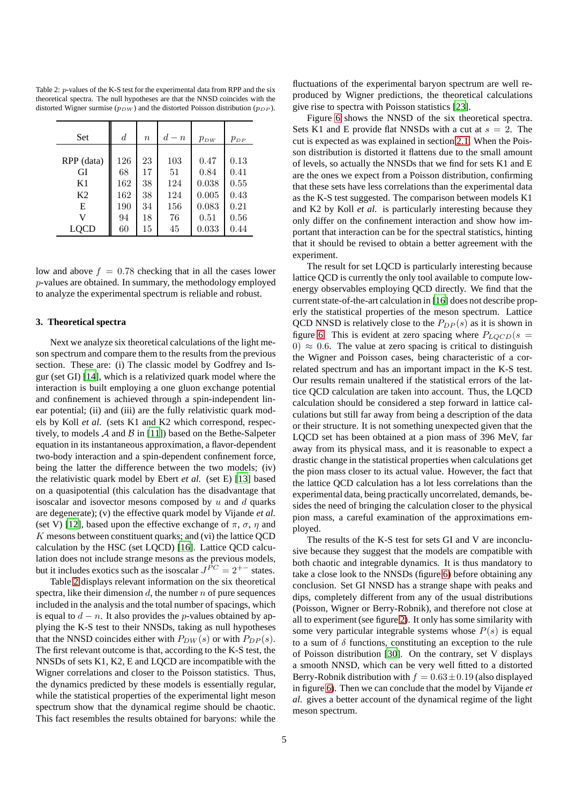<span id="page-4-0"></span>Table 2: p-values of the K-S test for the experimental data from RPP and the six theoretical spectra. The null hypotheses are that the NNSD coincides with the distorted Wigner surmise ( $p_{DW}$ ) and the distorted Poisson distribution ( $p_{DP}$ ).

| Set            | $\boldsymbol{d}$ | $\eta$ | $d-n$ | $p_{DW}$ | $p_{DP}$ |
|----------------|------------------|--------|-------|----------|----------|
| RPP (data)     | 126              | 23     | 103   | 0.47     | 0.13     |
| GI             | 68               | 17     | 51    | 0.84     | 0.41     |
| K1             | 162              | 38     | 124   | 0.038    | 0.55     |
| K <sub>2</sub> | 162              | 38     | 124   | 0.005    | 0.43     |
| E              | 190              | 34     | 156   | 0.083    | 0.21     |
| V              | 94               | 18     | 76    | 0.51     | 0.56     |
| LOCD           | 60               | 15     | 45    | 0.033    | 0.44     |

low and above  $f = 0.78$  checking that in all the cases lower p-values are obtained. In summary, the methodology employed to analyze the experimental spectrum is reliable and robust.

#### **3. Theoretical spectra**

Next we analyze six theoretical calculations of the light meson spectrum and compare them to the results from the previous section. These are: (i) The classic model by Godfrey and Isgur (set GI) [\[14](#page-5-13)], which is a relativized quark model where the interaction is built employing a one gluon exchange potential and confinement is achieved through a spin-independent linear potential; (ii) and (iii) are the fully relativistic quark models by Koll *et al.* (sets K1 and K2 which correspond, respectively, to models  $A$  and  $B$  in [\[11](#page-5-10)]) based on the Bethe-Salpeter equation in its instantaneous approximation, a flavor-dependent two-body interaction and a spin-dependent confinement force, being the latter the difference between the two models; (iv) the relativistic quark model by Ebert *et al.* (set E) [\[13\]](#page-5-12) based on a quasipotential (this calculation has the disadvantage that isoscalar and isovector mesons composed by  $u$  and  $d$  quarks are degenerate); (v) the effective quark model by Vijande *et al.* (set V) [\[12\]](#page-5-11), based upon the effective exchange of  $\pi$ ,  $\sigma$ ,  $\eta$  and  $K$  mesons between constituent quarks; and (vi) the lattice QCD calculation by the HSC (set LQCD) [\[16](#page-5-15)]. Lattice QCD calculation does not include strange mesons as the previous models, but it includes exotics such as the isoscalar  $J^{\tilde{P}C} = 2^{+-}$  states.

Table [2](#page-4-0) displays relevant information on the six theoretical spectra, like their dimension  $d$ , the number  $n$  of pure sequences included in the analysis and the total number of spacings, which is equal to  $d - n$ . It also provides the p-values obtained by applying the K-S test to their NNSDs, taking as null hypotheses that the NNSD coincides either with  $P_{DW}(s)$  or with  $P_{DP}(s)$ . The first relevant outcome is that, according to the K-S test, the NNSDs of sets K1, K2, E and LQCD are incompatible with the Wigner correlations and closer to the Poisson statistics. Thus, the dynamics predicted by these models is essentially regular, while the statistical properties of the experimental light meson spectrum show that the dynamical regime should be chaotic. This fact resembles the results obtained for baryons: while the

fluctuations of the experimental baryon spectrum are well reproduced by Wigner predictions, the theoretical calculations give rise to spectra with Poisson statistics [\[23\]](#page-5-22).

Figure [6](#page-5-27) shows the NNSD of the six theoretical spectra. Sets K1 and E provide flat NNSDs with a cut at  $s = 2$ . The cut is expected as was explained in section [2.1.](#page-1-1) When the Poisson distribution is distorted it flattens due to the small amount of levels, so actually the NNSDs that we find for sets K1 and E are the ones we expect from a Poisson distribution, confirming that these sets have less correlations than the experimental data as the K-S test suggested. The comparison between models K1 and K2 by Koll *et al.* is particularly interesting because they only differ on the confinement interaction and show how important that interaction can be for the spectral statistics, hinting that it should be revised to obtain a better agreement with the experiment.

The result for set LQCD is particularly interesting because lattice QCD is currently the only tool available to compute lowenergy observables employing QCD directly. We find that the current state-of-the-art calculation in [\[16](#page-5-15)] does not describe properly the statistical properties of the meson spectrum. Lattice QCD NNSD is relatively close to the  $P_{DP}(s)$  as it is shown in figure [6.](#page-5-27) This is evident at zero spacing where  $P_{LQCD}(s =$ 0)  $\approx$  0.6. The value at zero spacing is critical to distinguish the Wigner and Poisson cases, being characteristic of a correlated spectrum and has an important impact in the K-S test. Our results remain unaltered if the statistical errors of the lattice QCD calculation are taken into account. Thus, the LQCD calculation should be considered a step forward in lattice calculations but still far away from being a description of the data or their structure. It is not something unexpected given that the LQCD set has been obtained at a pion mass of 396 MeV, far away from its physical mass, and it is reasonable to expect a drastic change in the statistical properties when calculations get the pion mass closer to its actual value. However, the fact that the lattice QCD calculation has a lot less correlations than the experimental data, being practically uncorrelated, demands, besides the need of bringing the calculation closer to the physical pion mass, a careful examination of the approximations employed.

The results of the K-S test for sets GI and V are inconclusive because they suggest that the models are compatible with both chaotic and integrable dynamics. It is thus mandatory to take a close look to the NNSDs (figure [6\)](#page-5-27) before obtaining any conclusion. Set GI NNSD has a strange shape with peaks and dips, completely different from any of the usual distributions (Poisson, Wigner or Berry-Robnik), and therefore not close at all to experiment (see figure [2\)](#page-2-0). It only has some similarity with some very particular integrable systems whose  $P(s)$  is equal to a sum of  $\delta$  functions, constituting an exception to the rule of Poisson distribution [\[30](#page-6-2)]. On the contrary, set V displays a smooth NNSD, which can be very well fitted to a distorted Berry-Robnik distribution with  $f = 0.63 \pm 0.19$  (also displayed in figure [6\)](#page-5-27). Then we can conclude that the model by Vijande *et al.* gives a better account of the dynamical regime of the light meson spectrum.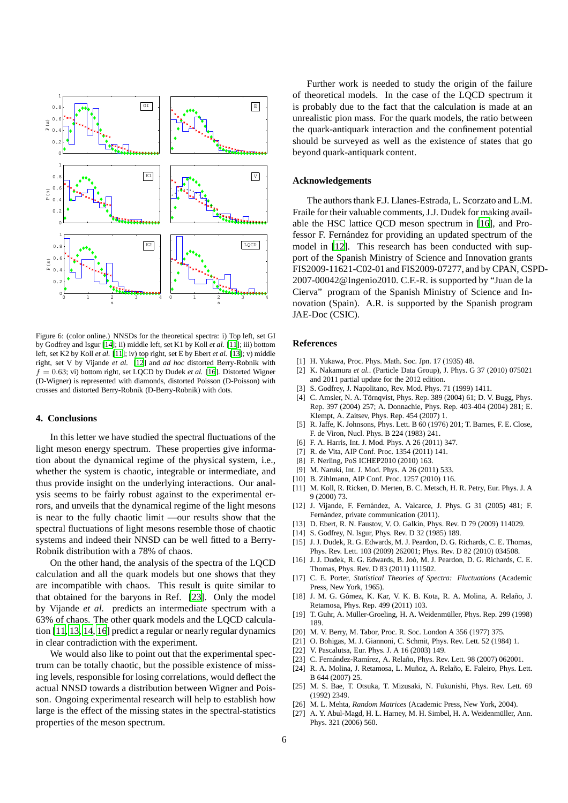

<span id="page-5-27"></span>Figure 6: (color online.) NNSDs for the theoretical spectra: i) Top left, set GI by Godfrey and Isgur [\[14\]](#page-5-13); ii) middle left, set K1 by Koll *et al.* [\[11](#page-5-10)]; iii) bottom left, set K2 by Koll *et al.* [\[11](#page-5-10)]; iv) top right, set E by Ebert *et al.* [\[13](#page-5-12)]; v) middle right, set V by Vijande *et al.* [\[12](#page-5-11)] and *ad hoc* distorted Berry-Robnik with  $f = 0.63$ ; vi) bottom right, set LQCD by Dudek *et al.* [\[16\]](#page-5-15). Distorted Wigner (D-Wigner) is represented with diamonds, distorted Poisson (D-Poisson) with crosses and distorted Berry-Robnik (D-Berry-Robnik) with dots.

#### **4. Conclusions**

In this letter we have studied the spectral fluctuations of the light meson energy spectrum. These properties give information about the dynamical regime of the physical system, i.e., whether the system is chaotic, integrable or intermediate, and thus provide insight on the underlying interactions. Our analysis seems to be fairly robust against to the experimental errors, and unveils that the dynamical regime of the light mesons is near to the fully chaotic limit —our results show that the spectral fluctuations of light mesons resemble those of chaotic systems and indeed their NNSD can be well fitted to a Berry-Robnik distribution with a 78% of chaos.

On the other hand, the analysis of the spectra of the LQCD calculation and all the quark models but one shows that they are incompatible with chaos. This result is quite similar to that obtained for the baryons in Ref. [\[23\]](#page-5-22). Only the model by Vijande *et al.* predicts an intermediate spectrum with a 63% of chaos. The other quark models and the LQCD calculation [\[11,](#page-5-10) [13,](#page-5-12) [14](#page-5-13), [16\]](#page-5-15) predict a regular or nearly regular dynamics in clear contradiction with the experiment.

We would also like to point out that the experimental spectrum can be totally chaotic, but the possible existence of missing levels, responsible for losing correlations, would deflect the actual NNSD towards a distribution between Wigner and Poisson. Ongoing experimental research will help to establish how large is the effect of the missing states in the spectral-statistics properties of the meson spectrum.

Further work is needed to study the origin of the failure of theoretical models. In the case of the LQCD spectrum it is probably due to the fact that the calculation is made at an unrealistic pion mass. For the quark models, the ratio between the quark-antiquark interaction and the confinement potential should be surveyed as well as the existence of states that go beyond quark-antiquark content.

#### **Acknowledgements**

The authors thank F.J. Llanes-Estrada, L. Scorzato and L.M. Fraile for their valuable comments, J.J. Dudek for making available the HSC lattice QCD meson spectrum in [\[16\]](#page-5-15), and Professor F. Fernández for providing an updated spectrum of the model in [\[12\]](#page-5-11). This research has been conducted with support of the Spanish Ministry of Science and Innovation grants FIS2009-11621-C02-01 and FIS2009-07277, and by CPAN, CSPD-2007-00042@Ingenio2010. C.F.-R. is supported by "Juan de la Cierva" program of the Spanish Ministry of Science and Innovation (Spain). A.R. is supported by the Spanish program JAE-Doc (CSIC).

#### **References**

- <span id="page-5-0"></span>[1] H. Yukawa, Proc. Phys. Math. Soc. Jpn. 17 (1935) 48.
- <span id="page-5-1"></span>[2] K. Nakamura *et al.*. (Particle Data Group), J. Phys. G 37 (2010) 075021 and 2011 partial update for the 2012 edition.
- <span id="page-5-2"></span>[3] S. Godfrey, J. Napolitano, Rev. Mod. Phys. 71 (1999) 1411.
- <span id="page-5-3"></span>[4] C. Amsler, N. A. Törnqvist, Phys. Rep. 389 (2004) 61; D. V. Bugg, Phys. Rep. 397 (2004) 257; A. Donnachie, Phys. Rep. 403-404 (2004) 281; E. Klempt, A. Zaitsev, Phys. Rep. 454 (2007) 1.
- <span id="page-5-4"></span>[5] R. Jaffe, K. Johnsons, Phys. Lett. B 60 (1976) 201; T. Barnes, F. E. Close, F. de Viron, Nucl. Phys. B 224 (1983) 241.
- <span id="page-5-5"></span>[6] F. A. Harris, Int. J. Mod. Phys. A 26 (2011) 347.
- <span id="page-5-6"></span>[7] R. de Vita, AIP Conf. Proc. 1354 (2011) 141.
- <span id="page-5-7"></span>[8] F. Nerling, PoS ICHEP2010 (2010) 163.
- <span id="page-5-8"></span>[9] M. Naruki, Int. J. Mod. Phys. A 26 (2011) 533.
- <span id="page-5-9"></span>[10] B. Zihlmann, AIP Conf. Proc. 1257 (2010) 116.
- <span id="page-5-10"></span>[11] M. Koll, R. Ricken, D. Merten, B. C. Metsch, H. R. Petry, Eur. Phys. J. A 9 (2000) 73.
- <span id="page-5-11"></span>[12] J. Vijande, F. Fernández, A. Valcarce, J. Phys. G 31 (2005) 481; F. Fernández, private communication (2011).
- <span id="page-5-12"></span>[13] D. Ebert, R. N. Faustov, V. O. Galkin, Phys. Rev. D 79 (2009) 114029.
- <span id="page-5-13"></span>[14] S. Godfrey, N. Isgur, Phys. Rev. D 32 (1985) 189.
- <span id="page-5-14"></span>[15] J. J. Dudek, R. G. Edwards, M. J. Peardon, D. G. Richards, C. E. Thomas, Phys. Rev. Lett. 103 (2009) 262001; Phys. Rev. D 82 (2010) 034508.
- <span id="page-5-15"></span>[16] J. J. Dudek, R. G. Edwards, B. Joó, M. J. Peardon, D. G. Richards, C. E. Thomas, Phys. Rev. D 83 (2011) 111502.
- <span id="page-5-16"></span>[17] C. E. Porter, *Statistical Theories of Spectra: Fluctuations* (Academic Press, New York, 1965).
- <span id="page-5-17"></span>[18] J. M. G. Gómez, K. Kar, V. K. B. Kota, R. A. Molina, A. Relaño, J. Retamosa, Phys. Rep. 499 (2011) 103.
- <span id="page-5-18"></span>[19] T. Guhr, A. Müller-Groeling, H. A. Weidenmüller, Phys. Rep. 299 (1998) 189.
- <span id="page-5-19"></span>[20] M. V. Berry, M. Tabor, Proc. R. Soc. London A 356 (1977) 375.
- <span id="page-5-20"></span>[21] O. Bohigas, M. J. Giannoni, C. Schmit, Phys. Rev. Lett. 52 (1984) 1.
- <span id="page-5-21"></span>[22] V. Pascalutsa, Eur. Phys. J. A 16 (2003) 149.
- <span id="page-5-22"></span>[23] C. Fernández-Ramírez, A. Relaño, Phys. Rev. Lett. 98 (2007) 062001.
- <span id="page-5-23"></span>[24] R. A. Molina, J. Retamosa, L. Muñoz, A. Relaño, E. Faleiro, Phys. Lett. B 644 (2007) 25.
- <span id="page-5-24"></span>[25] M. S. Bae, T. Otsuka, T. Mizusaki, N. Fukunishi, Phys. Rev. Lett. 69 (1992) 2349.
- <span id="page-5-25"></span>[26] M. L. Mehta, *Random Matrices* (Academic Press, New York, 2004).
- <span id="page-5-26"></span>[27] A. Y. Abul-Magd, H. L. Harney, M. H. Simbel, H. A. Weidenmüller, Ann. Phys. 321 (2006) 560.